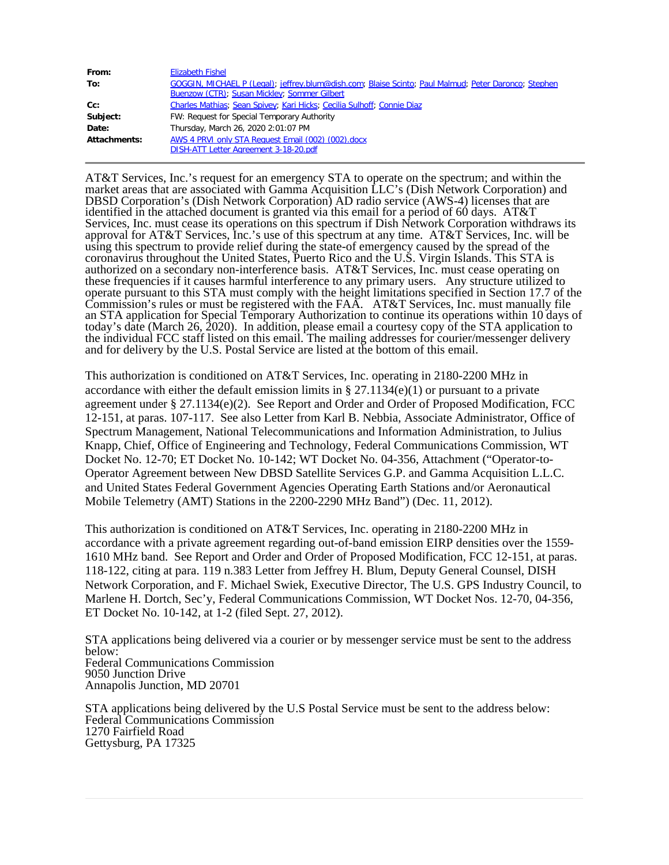| From:        | <b>Elizabeth Fishel</b>                                                                              |
|--------------|------------------------------------------------------------------------------------------------------|
| To:          | GOGGIN, MICHAEL P (Legal); jeffrey.blum@dish.com; Blaise Scinto; Paul Malmud; Peter Daronco; Stephen |
|              | Buenzow (CTR); Susan Mickley; Sommer Gilbert                                                         |
| $Cc$ :       | Charles Mathias; Sean Spivey; Kari Hicks; Cecilia Sulhoff; Connie Diaz                               |
| Subject:     | FW: Request for Special Temporary Authority                                                          |
| Date:        | Thursday, March 26, 2020 2:01:07 PM                                                                  |
| Attachments: | AWS 4 PRVI only STA Request Email (002) (002) docx                                                   |
|              | DISH-ATT Letter Agreement 3-18-20.pdf                                                                |

AT&T Services, Inc.'s request for an emergency STA to operate on the spectrum; and within the market areas that are associated with Gamma Acquisition LLC's (Dish Network Corporation) and DBSD Corporation's (Dish Network Corporation) AD radio service (AWS-4) licenses that are identified in the attached document is granted via this email for a period of 60 days. AT&T Services, Inc. must cease its operations on this spectrum if Dish Network Corporation withdraws its approval for AT&T Services, Inc.'s use of this spectrum at any time. AT&T Services, Inc. will be using this spectrum to provide relief during the state-of emergency caused by the spread of the coronavirus throughout the United States, Puerto Rico and the U.S. Virgin Islands. This STA is authorized on a secondary non-interference basis. AT&T Services, Inc. must cease operating on these frequencies if it causes harmful interference to any primary users. Any structure utilized to operate pursuant to this STA must comply with the height limitations specified in Section 17.7 of the Commission's rules or must be registered with the FAA. AT&T Services, Inc. must manually file an STA application for Special Temporary Authorization to continue its operations within 10 days of today's date (March 26, 2020). In addition, please email a courtesy copy of the STA application to the individual FCC staff listed on this email. The mailing addresses for courier/messenger delivery and for delivery by the U.S. Postal Service are listed at the bottom of this email.

This authorization is conditioned on AT&T Services, Inc. operating in 2180-2200 MHz in accordance with either the default emission limits in § 27.1134(e)(1) or pursuant to a private agreement under  $\S 27.1134(e)(2)$ . See Report and Order and Order of Proposed Modification, FCC 12-151, at paras. 107-117. See also Letter from Karl B. Nebbia, Associate Administrator, Office of Spectrum Management, National Telecommunications and Information Administration, to Julius Knapp, Chief, Office of Engineering and Technology, Federal Communications Commission, WT Docket No. 12-70; ET Docket No. 10-142; WT Docket No. 04-356, Attachment ("Operator-to-Operator Agreement between New DBSD Satellite Services G.P. and Gamma Acquisition L.L.C. and United States Federal Government Agencies Operating Earth Stations and/or Aeronautical Mobile Telemetry (AMT) Stations in the 2200-2290 MHz Band") (Dec. 11, 2012).

This authorization is conditioned on AT&T Services, Inc. operating in 2180-2200 MHz in accordance with a private agreement regarding out-of-band emission EIRP densities over the 1559- 1610 MHz band. See Report and Order and Order of Proposed Modification, FCC 12-151, at paras. 118-122, citing at para. 119 n.383 Letter from Jeffrey H. Blum, Deputy General Counsel, DISH Network Corporation, and F. Michael Swiek, Executive Director, The U.S. GPS Industry Council, to Marlene H. Dortch, Sec'y, Federal Communications Commission, WT Docket Nos. 12-70, 04-356, ET Docket No. 10-142, at 1-2 (filed Sept. 27, 2012).

STA applications being delivered via a courier or by messenger service must be sent to the address below: Federal Communications Commission 9050 Junction Drive Annapolis Junction, MD 20701

STA applications being delivered by the U.S Postal Service must be sent to the address below: Federal Communications Commission 1270 Fairfield Road Gettysburg, PA 17325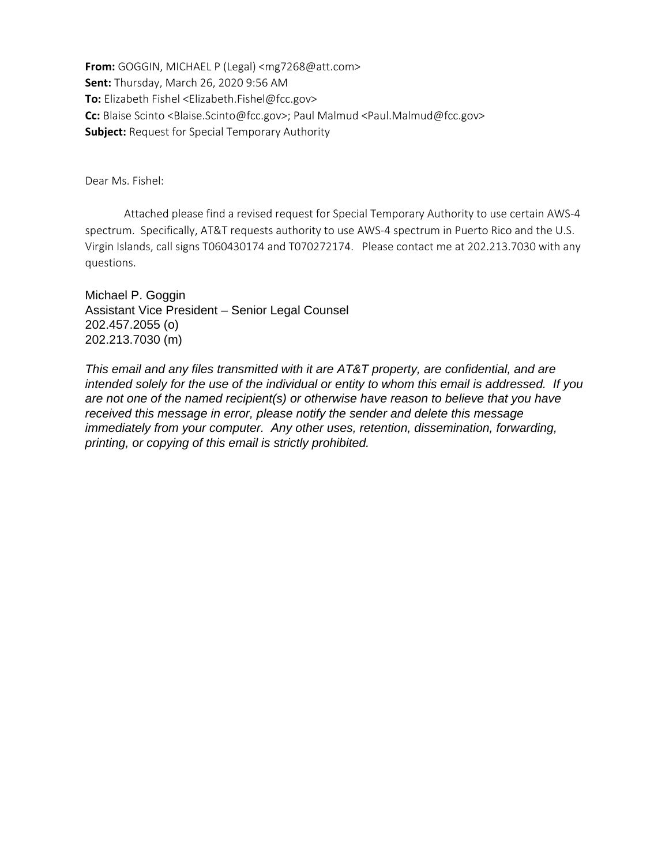**From:** GOGGIN, MICHAEL P (Legal) <mg7268@att.com> **Sent:** Thursday, March 26, 2020 9:56 AM **To:** Elizabeth Fishel <Elizabeth.Fishel@fcc.gov> **Cc:** Blaise Scinto <Blaise.Scinto@fcc.gov>; Paul Malmud <Paul.Malmud@fcc.gov> **Subject:** Request for Special Temporary Authority

Dear Ms. Fishel:

 Attached please find a revised request for Special Temporary Authority to use certain AWS-4 spectrum. Specifically, AT&T requests authority to use AWS-4 spectrum in Puerto Rico and the U.S. Virgin Islands, call signs T060430174 and T070272174. Please contact me at 202.213.7030 with any questions.

Michael P. Goggin Assistant Vice President – Senior Legal Counsel 202.457.2055 (o) 202.213.7030 (m)

*This email and any files transmitted with it are AT&T property, are confidential, and are intended solely for the use of the individual or entity to whom this email is addressed. If you are not one of the named recipient(s) or otherwise have reason to believe that you have received this message in error, please notify the sender and delete this message immediately from your computer. Any other uses, retention, dissemination, forwarding, printing, or copying of this email is strictly prohibited.*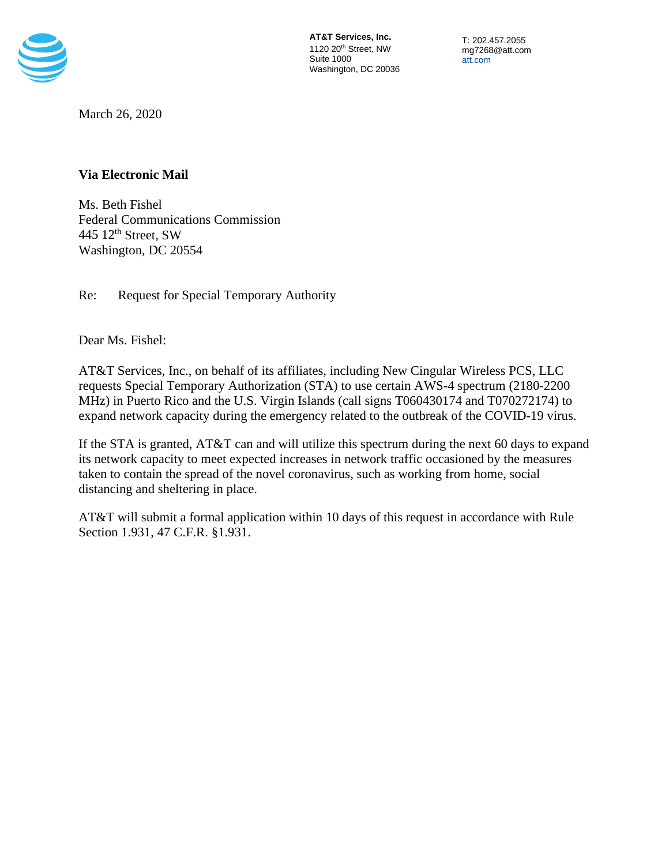

**[AT&T Services, Inc.](https://www.google.com/maps/place/1120+20th+St+NW,+Washington,+DC+20036/@38.9045825,-77.0475645,17z/data=!3m1!4b1!4m5!3m4!1s0x89b7b7b7792eafc1:0xbffd0dbce6b15003!8m2!3d38.9045825!4d-77.0453758)** 1120 20<sup>th</sup> Street, NW Suite 1000 Washington, DC 20036

T: 202.457.2055 mg7268@att.com [att.com](file://GAALPA1CDFILE19/ee296v$/Files/Celia%20N/att.com)

March 26, 2020

# **Via Electronic Mail**

Ms. Beth Fishel Federal Communications Commission 445 12<sup>th</sup> Street, SW Washington, DC 20554

Re: Request for Special Temporary Authority

Dear Ms. Fishel:

AT&T Services, Inc., on behalf of its affiliates, including New Cingular Wireless PCS, LLC requests Special Temporary Authorization (STA) to use certain AWS-4 spectrum (2180-2200 MHz) in Puerto Rico and the U.S. Virgin Islands (call signs T060430174 and T070272174) to expand network capacity during the emergency related to the outbreak of the COVID-19 virus.

If the STA is granted, AT&T can and will utilize this spectrum during the next 60 days to expand its network capacity to meet expected increases in network traffic occasioned by the measures taken to contain the spread of the novel coronavirus, such as working from home, social distancing and sheltering in place.

AT&T will submit a formal application within 10 days of this request in accordance with Rule Section 1.931, 47 C.F.R. §1.931.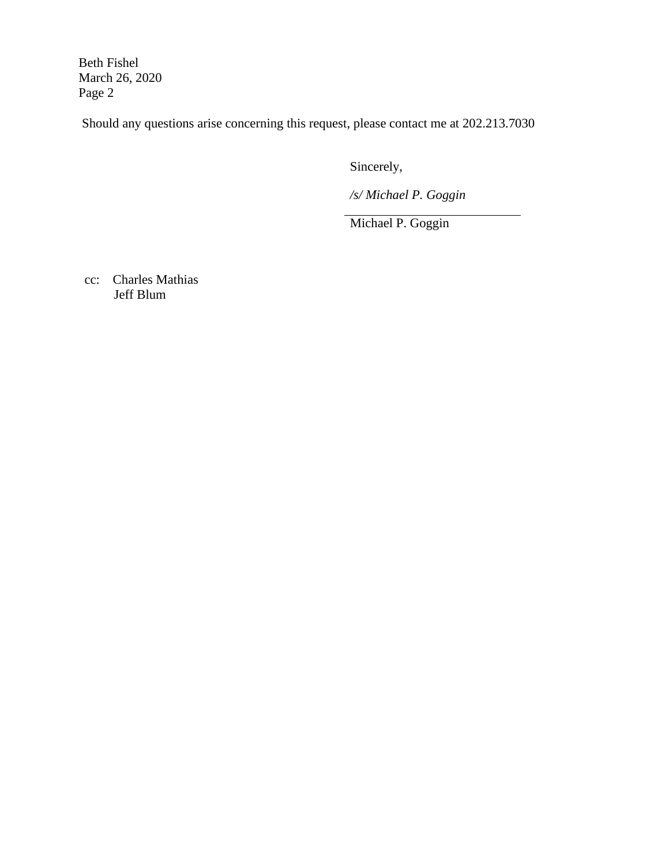Beth Fishel March 26, 2020 Page 2

Should any questions arise concerning this request, please contact me at 202.213.7030

Sincerely,

*/s/ Michael P. Goggin*

Michael P. Goggin

cc: Charles Mathias Jeff Blum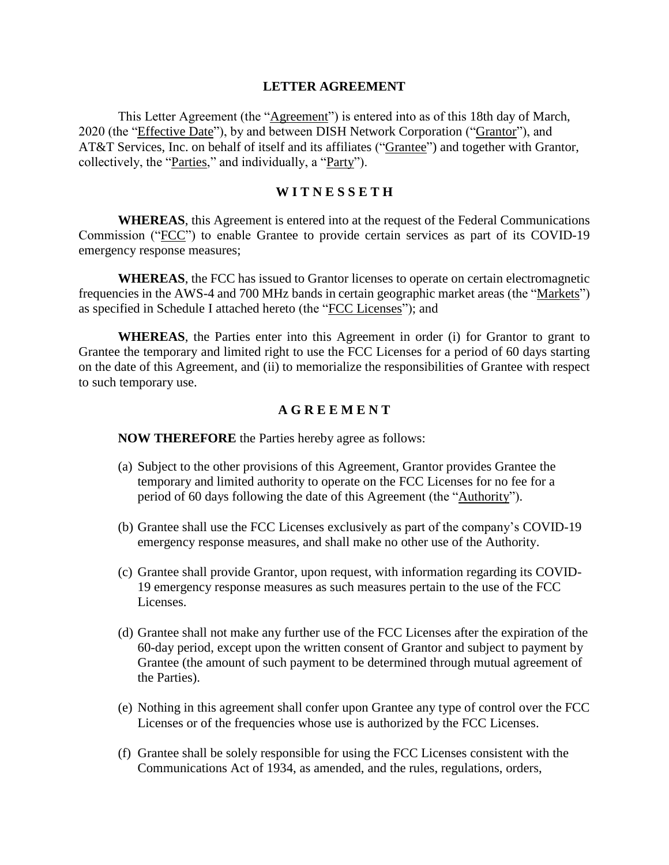## **LETTER AGREEMENT**

This Letter Agreement (the "Agreement") is entered into as of this 18th day of March, 2020 (the "Effective Date"), by and between DISH Network Corporation ("Grantor"), and AT&T Services, Inc. on behalf of itself and its affiliates ("Grantee") and together with Grantor, collectively, the "Parties," and individually, a "Party").

## **W I T N E S S E T H**

**WHEREAS**, this Agreement is entered into at the request of the Federal Communications Commission ("FCC") to enable Grantee to provide certain services as part of its COVID-19 emergency response measures;

**WHEREAS**, the FCC has issued to Grantor licenses to operate on certain electromagnetic frequencies in the AWS-4 and 700 MHz bands in certain geographic market areas (the "Markets") as specified in Schedule I attached hereto (the "FCC Licenses"); and

**WHEREAS**, the Parties enter into this Agreement in order (i) for Grantor to grant to Grantee the temporary and limited right to use the FCC Licenses for a period of 60 days starting on the date of this Agreement, and (ii) to memorialize the responsibilities of Grantee with respect to such temporary use.

## **A G R E E M E N T**

**NOW THEREFORE** the Parties hereby agree as follows:

- (a) Subject to the other provisions of this Agreement, Grantor provides Grantee the temporary and limited authority to operate on the FCC Licenses for no fee for a period of 60 days following the date of this Agreement (the "Authority").
- (b) Grantee shall use the FCC Licenses exclusively as part of the company's COVID-19 emergency response measures, and shall make no other use of the Authority.
- (c) Grantee shall provide Grantor, upon request, with information regarding its COVID-19 emergency response measures as such measures pertain to the use of the FCC Licenses.
- (d) Grantee shall not make any further use of the FCC Licenses after the expiration of the 60-day period, except upon the written consent of Grantor and subject to payment by Grantee (the amount of such payment to be determined through mutual agreement of the Parties).
- (e) Nothing in this agreement shall confer upon Grantee any type of control over the FCC Licenses or of the frequencies whose use is authorized by the FCC Licenses.
- (f) Grantee shall be solely responsible for using the FCC Licenses consistent with the Communications Act of 1934, as amended, and the rules, regulations, orders,